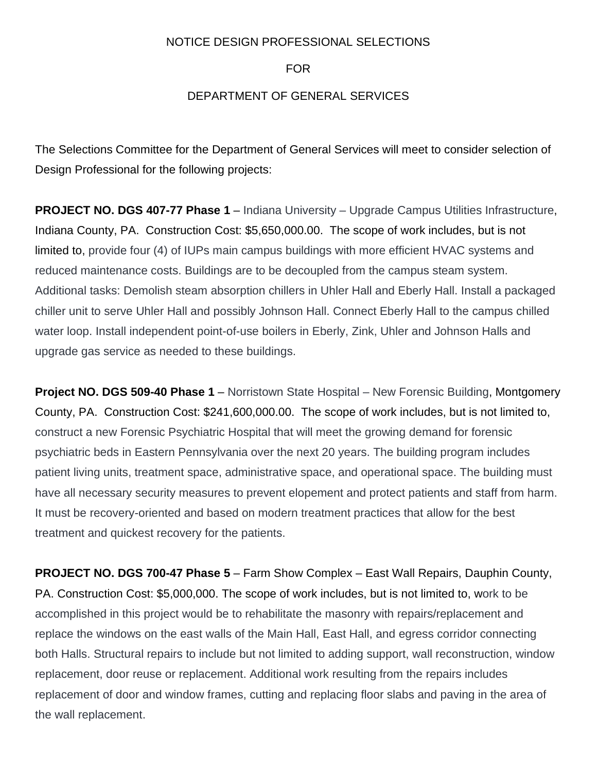## NOTICE DESIGN PROFESSIONAL SELECTIONS

FOR

## DEPARTMENT OF GENERAL SERVICES

The Selections Committee for the Department of General Services will meet to consider selection of Design Professional for the following projects:

**PROJECT NO. DGS 407-77 Phase 1** – Indiana University – Upgrade Campus Utilities Infrastructure, Indiana County, PA. Construction Cost: \$5,650,000.00. The scope of work includes, but is not limited to, provide four (4) of IUPs main campus buildings with more efficient HVAC systems and reduced maintenance costs. Buildings are to be decoupled from the campus steam system. Additional tasks: Demolish steam absorption chillers in Uhler Hall and Eberly Hall. Install a packaged chiller unit to serve Uhler Hall and possibly Johnson Hall. Connect Eberly Hall to the campus chilled water loop. Install independent point-of-use boilers in Eberly, Zink, Uhler and Johnson Halls and upgrade gas service as needed to these buildings.

**Project NO. DGS 509-40 Phase 1** – Norristown State Hospital – New Forensic Building, Montgomery County, PA. Construction Cost: \$241,600,000.00. The scope of work includes, but is not limited to, construct a new Forensic Psychiatric Hospital that will meet the growing demand for forensic psychiatric beds in Eastern Pennsylvania over the next 20 years. The building program includes patient living units, treatment space, administrative space, and operational space. The building must have all necessary security measures to prevent elopement and protect patients and staff from harm. It must be recovery-oriented and based on modern treatment practices that allow for the best treatment and quickest recovery for the patients.

**PROJECT NO. DGS 700-47 Phase 5** – Farm Show Complex – East Wall Repairs, Dauphin County, PA. Construction Cost: \$5,000,000. The scope of work includes, but is not limited to, work to be accomplished in this project would be to rehabilitate the masonry with repairs/replacement and replace the windows on the east walls of the Main Hall, East Hall, and egress corridor connecting both Halls. Structural repairs to include but not limited to adding support, wall reconstruction, window replacement, door reuse or replacement. Additional work resulting from the repairs includes replacement of door and window frames, cutting and replacing floor slabs and paving in the area of the wall replacement.